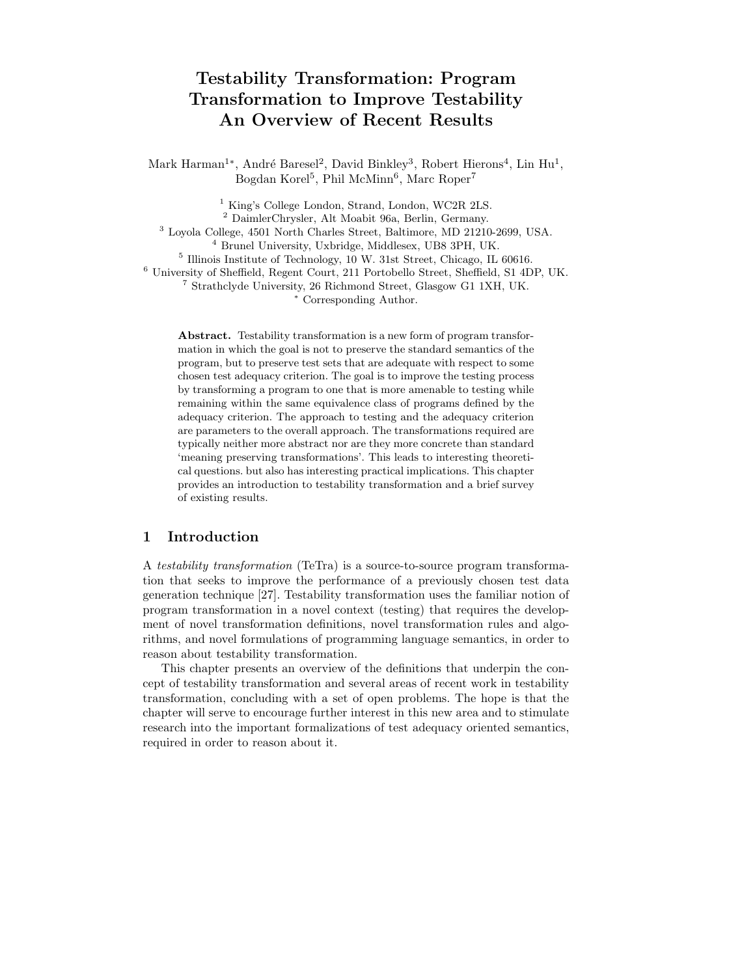# Testability Transformation: Program Transformation to Improve Testability An Overview of Recent Results

Mark Harman<sup>1\*</sup>, André Baresel<sup>2</sup>, David Binkley<sup>3</sup>, Robert Hierons<sup>4</sup>, Lin Hu<sup>1</sup>, Bogdan Korel<sup>5</sup>, Phil McMinn<sup>6</sup>, Marc Roper<sup>7</sup>

 King's College London, Strand, London, WC2R 2LS. DaimlerChrysler, Alt Moabit 96a, Berlin, Germany. Loyola College, 4501 North Charles Street, Baltimore, MD 21210-2699, USA. Brunel University, Uxbridge, Middlesex, UB8 3PH, UK. Illinois Institute of Technology, 10 W. 31st Street, Chicago, IL 60616. University of Sheffield, Regent Court, 211 Portobello Street, Sheffield, S1 4DP, UK. Strathclyde University, 26 Richmond Street, Glasgow G1 1XH, UK. <sup>∗</sup> Corresponding Author.

Abstract. Testability transformation is a new form of program transformation in which the goal is not to preserve the standard semantics of the program, but to preserve test sets that are adequate with respect to some chosen test adequacy criterion. The goal is to improve the testing process by transforming a program to one that is more amenable to testing while remaining within the same equivalence class of programs defined by the adequacy criterion. The approach to testing and the adequacy criterion are parameters to the overall approach. The transformations required are typically neither more abstract nor are they more concrete than standard 'meaning preserving transformations'. This leads to interesting theoretical questions. but also has interesting practical implications. This chapter provides an introduction to testability transformation and a brief survey of existing results.

### 1 Introduction

A testability transformation (TeTra) is a source-to-source program transformation that seeks to improve the performance of a previously chosen test data generation technique [27]. Testability transformation uses the familiar notion of program transformation in a novel context (testing) that requires the development of novel transformation definitions, novel transformation rules and algorithms, and novel formulations of programming language semantics, in order to reason about testability transformation.

This chapter presents an overview of the definitions that underpin the concept of testability transformation and several areas of recent work in testability transformation, concluding with a set of open problems. The hope is that the chapter will serve to encourage further interest in this new area and to stimulate research into the important formalizations of test adequacy oriented semantics, required in order to reason about it.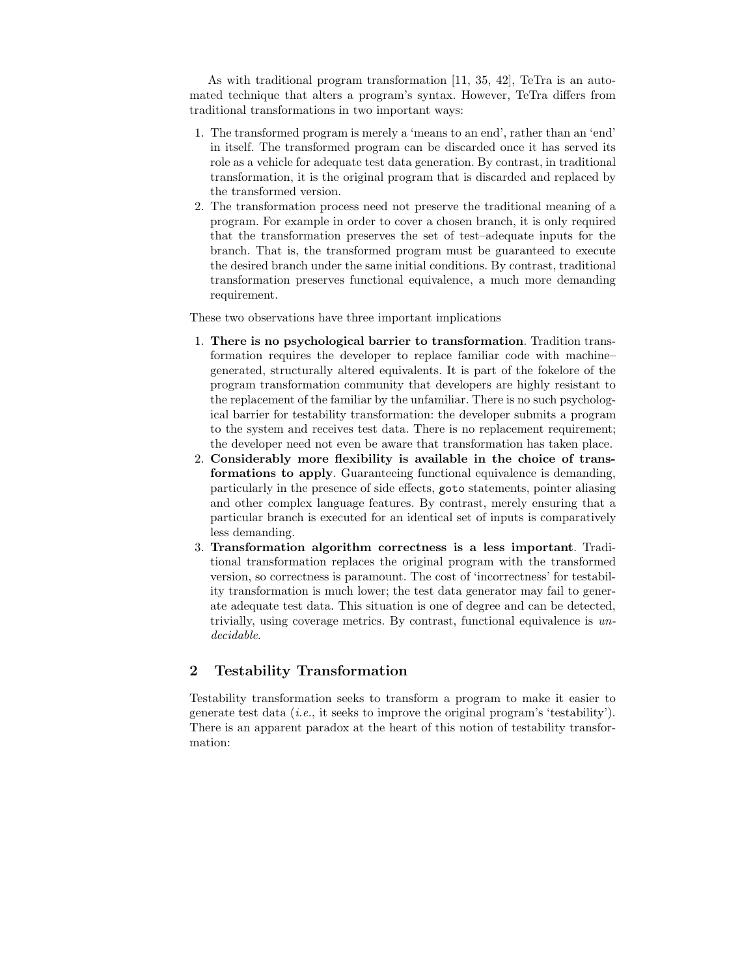As with traditional program transformation [11, 35, 42], TeTra is an automated technique that alters a program's syntax. However, TeTra differs from traditional transformations in two important ways:

- 1. The transformed program is merely a 'means to an end', rather than an 'end' in itself. The transformed program can be discarded once it has served its role as a vehicle for adequate test data generation. By contrast, in traditional transformation, it is the original program that is discarded and replaced by the transformed version.
- 2. The transformation process need not preserve the traditional meaning of a program. For example in order to cover a chosen branch, it is only required that the transformation preserves the set of test–adequate inputs for the branch. That is, the transformed program must be guaranteed to execute the desired branch under the same initial conditions. By contrast, traditional transformation preserves functional equivalence, a much more demanding requirement.

These two observations have three important implications

- 1. There is no psychological barrier to transformation. Tradition transformation requires the developer to replace familiar code with machine– generated, structurally altered equivalents. It is part of the fokelore of the program transformation community that developers are highly resistant to the replacement of the familiar by the unfamiliar. There is no such psychological barrier for testability transformation: the developer submits a program to the system and receives test data. There is no replacement requirement; the developer need not even be aware that transformation has taken place.
- 2. Considerably more flexibility is available in the choice of transformations to apply. Guaranteeing functional equivalence is demanding, particularly in the presence of side effects, goto statements, pointer aliasing and other complex language features. By contrast, merely ensuring that a particular branch is executed for an identical set of inputs is comparatively less demanding.
- 3. Transformation algorithm correctness is a less important. Traditional transformation replaces the original program with the transformed version, so correctness is paramount. The cost of 'incorrectness' for testability transformation is much lower; the test data generator may fail to generate adequate test data. This situation is one of degree and can be detected, trivially, using coverage metrics. By contrast, functional equivalence is undecidable.

# 2 Testability Transformation

Testability transformation seeks to transform a program to make it easier to generate test data (i.e., it seeks to improve the original program's 'testability'). There is an apparent paradox at the heart of this notion of testability transformation: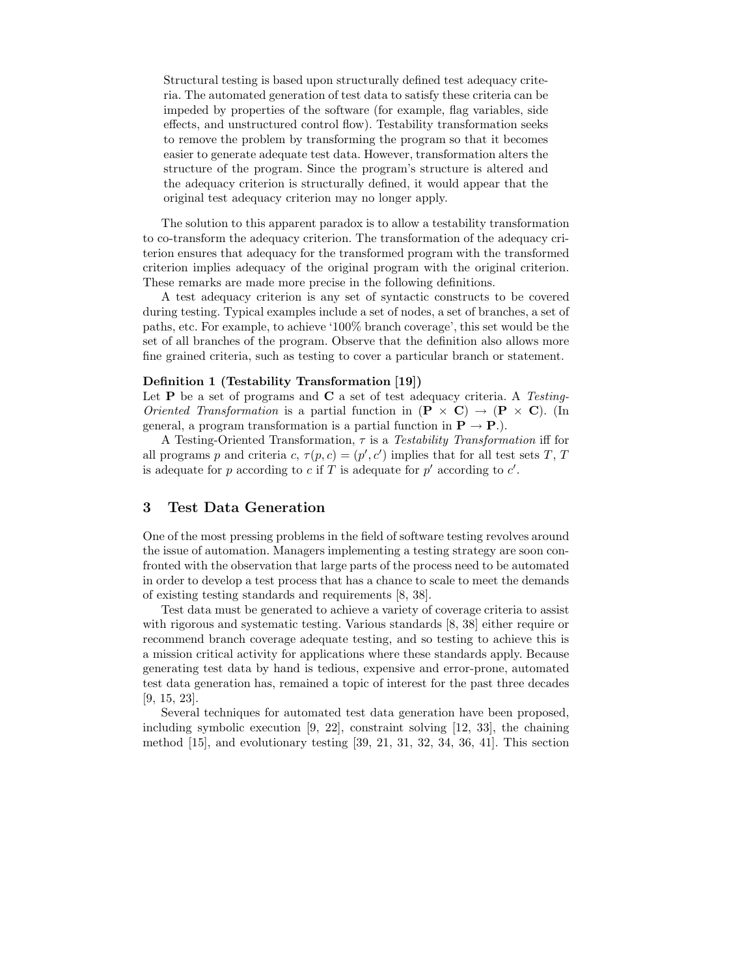Structural testing is based upon structurally defined test adequacy criteria. The automated generation of test data to satisfy these criteria can be impeded by properties of the software (for example, flag variables, side effects, and unstructured control flow). Testability transformation seeks to remove the problem by transforming the program so that it becomes easier to generate adequate test data. However, transformation alters the structure of the program. Since the program's structure is altered and the adequacy criterion is structurally defined, it would appear that the original test adequacy criterion may no longer apply.

The solution to this apparent paradox is to allow a testability transformation to co-transform the adequacy criterion. The transformation of the adequacy criterion ensures that adequacy for the transformed program with the transformed criterion implies adequacy of the original program with the original criterion. These remarks are made more precise in the following definitions.

A test adequacy criterion is any set of syntactic constructs to be covered during testing. Typical examples include a set of nodes, a set of branches, a set of paths, etc. For example, to achieve '100% branch coverage', this set would be the set of all branches of the program. Observe that the definition also allows more fine grained criteria, such as testing to cover a particular branch or statement.

### Definition 1 (Testability Transformation [19])

Let **P** be a set of programs and **C** a set of test adequacy criteria. A Testing-Oriented Transformation is a partial function in  $(\mathbf{P} \times \mathbf{C}) \rightarrow (\mathbf{P} \times \mathbf{C})$ . (In general, a program transformation is a partial function in  $P \to P$ .

A Testing-Oriented Transformation,  $\tau$  is a Testability Transformation iff for all programs p and criteria c,  $\tau(p,c) = (p', c')$  implies that for all test sets T, T is adequate for p according to c if T is adequate for p' according to  $c'$ .

# 3 Test Data Generation

One of the most pressing problems in the field of software testing revolves around the issue of automation. Managers implementing a testing strategy are soon confronted with the observation that large parts of the process need to be automated in order to develop a test process that has a chance to scale to meet the demands of existing testing standards and requirements [8, 38].

Test data must be generated to achieve a variety of coverage criteria to assist with rigorous and systematic testing. Various standards [8, 38] either require or recommend branch coverage adequate testing, and so testing to achieve this is a mission critical activity for applications where these standards apply. Because generating test data by hand is tedious, expensive and error-prone, automated test data generation has, remained a topic of interest for the past three decades [9, 15, 23].

Several techniques for automated test data generation have been proposed, including symbolic execution [9, 22], constraint solving [12, 33], the chaining method [15], and evolutionary testing [39, 21, 31, 32, 34, 36, 41]. This section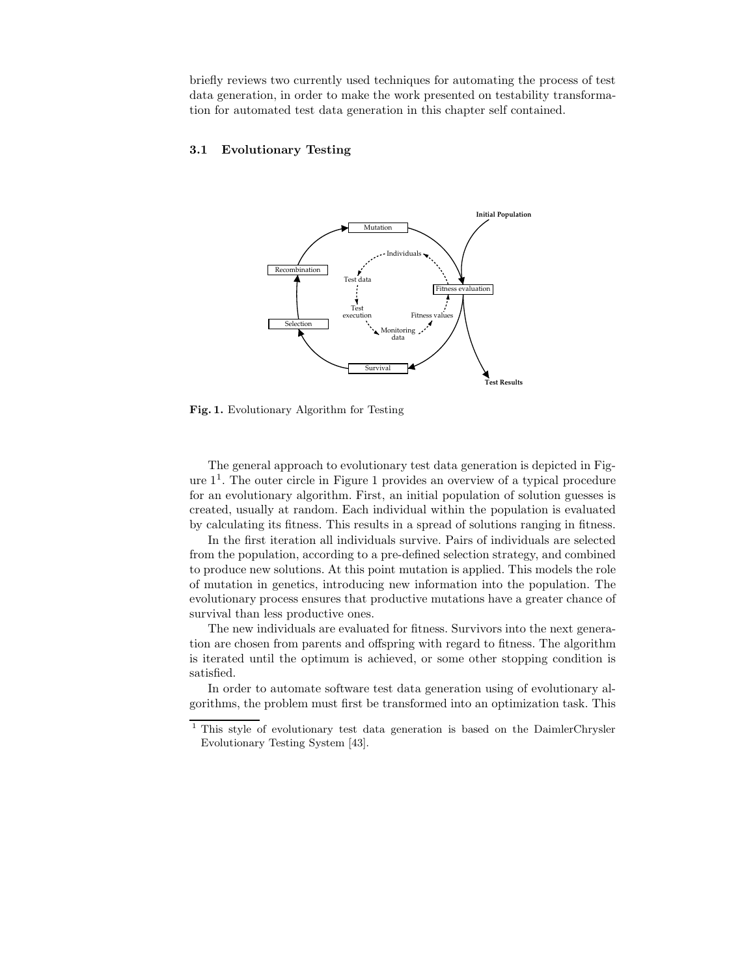briefly reviews two currently used techniques for automating the process of test data generation, in order to make the work presented on testability transformation for automated test data generation in this chapter self contained.

### 3.1 Evolutionary Testing



Fig. 1. Evolutionary Algorithm for Testing

The general approach to evolutionary test data generation is depicted in Figure 1<sup>1</sup> . The outer circle in Figure 1 provides an overview of a typical procedure for an evolutionary algorithm. First, an initial population of solution guesses is created, usually at random. Each individual within the population is evaluated by calculating its fitness. This results in a spread of solutions ranging in fitness.

In the first iteration all individuals survive. Pairs of individuals are selected from the population, according to a pre-defined selection strategy, and combined to produce new solutions. At this point mutation is applied. This models the role of mutation in genetics, introducing new information into the population. The evolutionary process ensures that productive mutations have a greater chance of survival than less productive ones.

The new individuals are evaluated for fitness. Survivors into the next generation are chosen from parents and offspring with regard to fitness. The algorithm is iterated until the optimum is achieved, or some other stopping condition is satisfied.

In order to automate software test data generation using of evolutionary algorithms, the problem must first be transformed into an optimization task. This

<sup>&</sup>lt;sup>1</sup> This style of evolutionary test data generation is based on the DaimlerChrysler Evolutionary Testing System [43].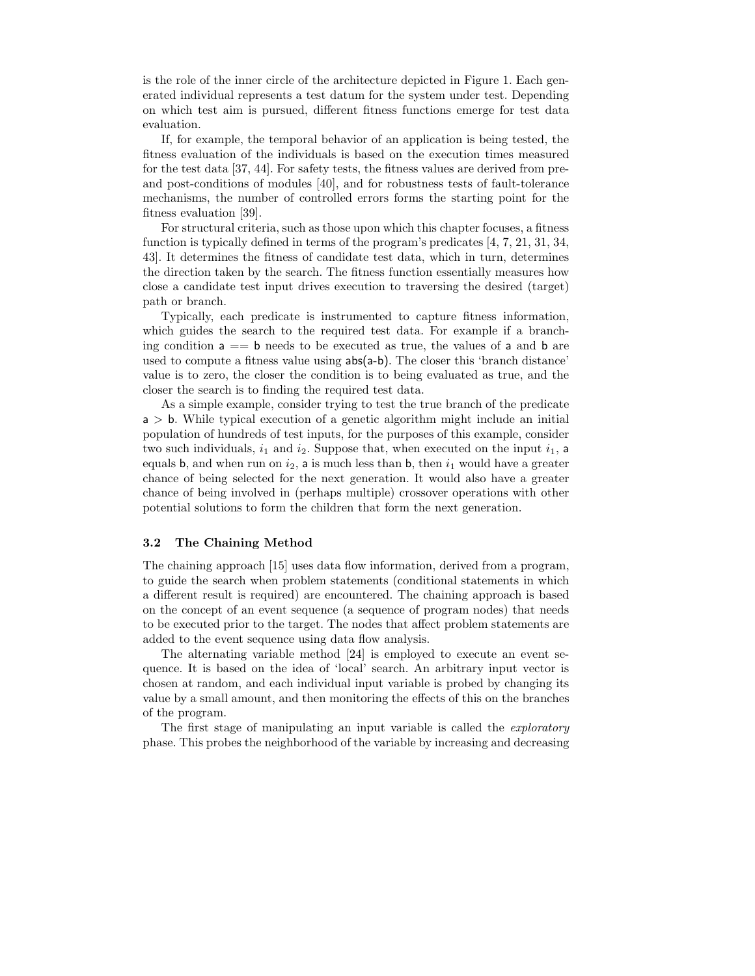is the role of the inner circle of the architecture depicted in Figure 1. Each generated individual represents a test datum for the system under test. Depending on which test aim is pursued, different fitness functions emerge for test data evaluation.

If, for example, the temporal behavior of an application is being tested, the fitness evaluation of the individuals is based on the execution times measured for the test data [37, 44]. For safety tests, the fitness values are derived from preand post-conditions of modules [40], and for robustness tests of fault-tolerance mechanisms, the number of controlled errors forms the starting point for the fitness evaluation [39].

For structural criteria, such as those upon which this chapter focuses, a fitness function is typically defined in terms of the program's predicates [4, 7, 21, 31, 34, 43]. It determines the fitness of candidate test data, which in turn, determines the direction taken by the search. The fitness function essentially measures how close a candidate test input drives execution to traversing the desired (target) path or branch.

Typically, each predicate is instrumented to capture fitness information, which guides the search to the required test data. For example if a branching condition  $a == b$  needs to be executed as true, the values of a and b are used to compute a fitness value using abs(a-b). The closer this 'branch distance' value is to zero, the closer the condition is to being evaluated as true, and the closer the search is to finding the required test data.

As a simple example, consider trying to test the true branch of the predicate a > b. While typical execution of a genetic algorithm might include an initial population of hundreds of test inputs, for the purposes of this example, consider two such individuals,  $i_1$  and  $i_2$ . Suppose that, when executed on the input  $i_1$ , a equals b, and when run on  $i_2$ , a is much less than b, then  $i_1$  would have a greater chance of being selected for the next generation. It would also have a greater chance of being involved in (perhaps multiple) crossover operations with other potential solutions to form the children that form the next generation.

### 3.2 The Chaining Method

The chaining approach [15] uses data flow information, derived from a program, to guide the search when problem statements (conditional statements in which a different result is required) are encountered. The chaining approach is based on the concept of an event sequence (a sequence of program nodes) that needs to be executed prior to the target. The nodes that affect problem statements are added to the event sequence using data flow analysis.

The alternating variable method [24] is employed to execute an event sequence. It is based on the idea of 'local' search. An arbitrary input vector is chosen at random, and each individual input variable is probed by changing its value by a small amount, and then monitoring the effects of this on the branches of the program.

The first stage of manipulating an input variable is called the *exploratory* phase. This probes the neighborhood of the variable by increasing and decreasing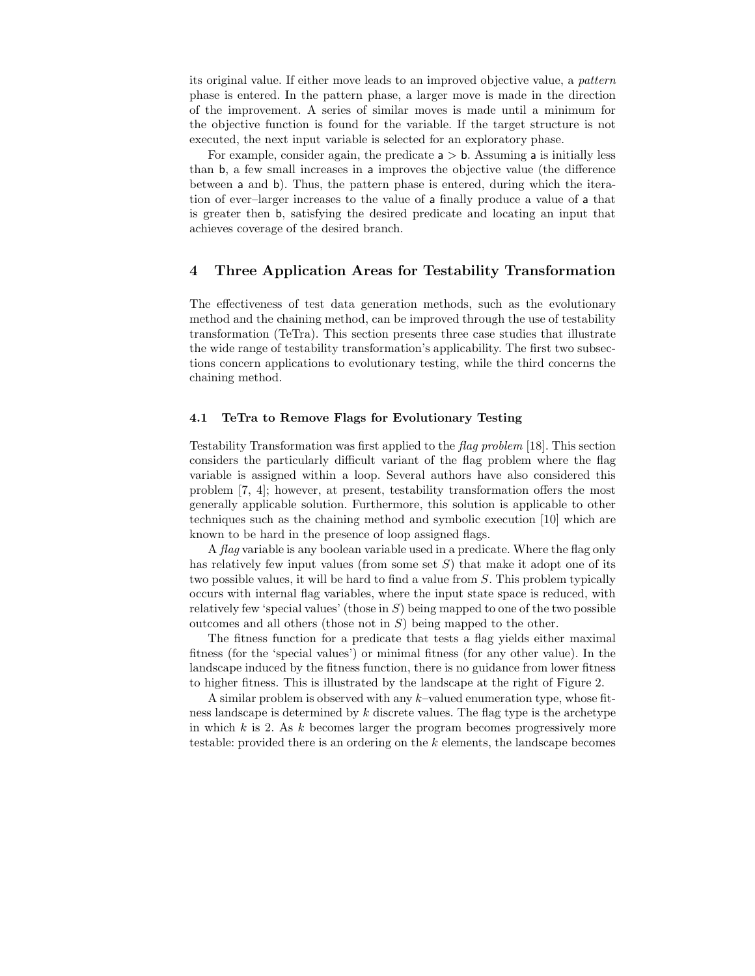its original value. If either move leads to an improved objective value, a pattern phase is entered. In the pattern phase, a larger move is made in the direction of the improvement. A series of similar moves is made until a minimum for the objective function is found for the variable. If the target structure is not executed, the next input variable is selected for an exploratory phase.

For example, consider again, the predicate  $a > b$ . Assuming a is initially less than b, a few small increases in a improves the objective value (the difference between a and b). Thus, the pattern phase is entered, during which the iteration of ever–larger increases to the value of a finally produce a value of a that is greater then b, satisfying the desired predicate and locating an input that achieves coverage of the desired branch.

# 4 Three Application Areas for Testability Transformation

The effectiveness of test data generation methods, such as the evolutionary method and the chaining method, can be improved through the use of testability transformation (TeTra). This section presents three case studies that illustrate the wide range of testability transformation's applicability. The first two subsections concern applications to evolutionary testing, while the third concerns the chaining method.

### 4.1 TeTra to Remove Flags for Evolutionary Testing

Testability Transformation was first applied to the flag problem [18]. This section considers the particularly difficult variant of the flag problem where the flag variable is assigned within a loop. Several authors have also considered this problem [7, 4]; however, at present, testability transformation offers the most generally applicable solution. Furthermore, this solution is applicable to other techniques such as the chaining method and symbolic execution [10] which are known to be hard in the presence of loop assigned flags.

A *flag* variable is any boolean variable used in a predicate. Where the flag only has relatively few input values (from some set  $S$ ) that make it adopt one of its two possible values, it will be hard to find a value from S. This problem typically occurs with internal flag variables, where the input state space is reduced, with relatively few 'special values' (those in  $S$ ) being mapped to one of the two possible outcomes and all others (those not in  $S$ ) being mapped to the other.

The fitness function for a predicate that tests a flag yields either maximal fitness (for the 'special values') or minimal fitness (for any other value). In the landscape induced by the fitness function, there is no guidance from lower fitness to higher fitness. This is illustrated by the landscape at the right of Figure 2.

A similar problem is observed with any  $k$ -valued enumeration type, whose fitness landscape is determined by k discrete values. The flag type is the archetype in which  $k$  is 2. As  $k$  becomes larger the program becomes progressively more testable: provided there is an ordering on the  $k$  elements, the landscape becomes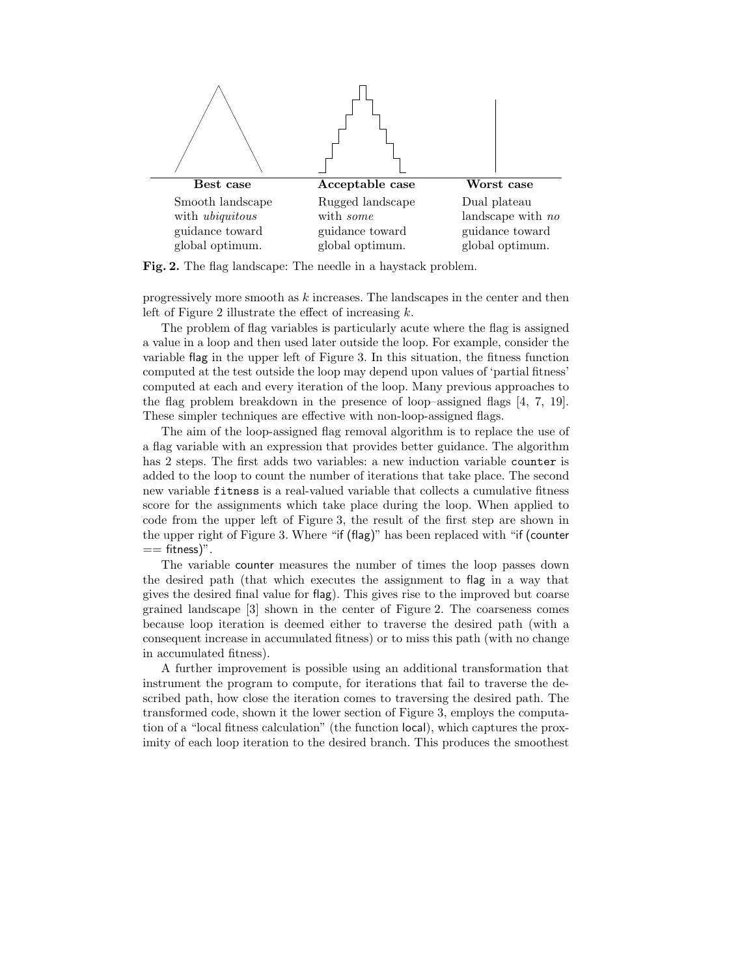

Fig. 2. The flag landscape: The needle in a haystack problem.

progressively more smooth as  $k$  increases. The landscapes in the center and then left of Figure 2 illustrate the effect of increasing  $k$ .

The problem of flag variables is particularly acute where the flag is assigned a value in a loop and then used later outside the loop. For example, consider the variable flag in the upper left of Figure 3. In this situation, the fitness function computed at the test outside the loop may depend upon values of 'partial fitness' computed at each and every iteration of the loop. Many previous approaches to the flag problem breakdown in the presence of loop–assigned flags [4, 7, 19]. These simpler techniques are effective with non-loop-assigned flags.

The aim of the loop-assigned flag removal algorithm is to replace the use of a flag variable with an expression that provides better guidance. The algorithm has 2 steps. The first adds two variables: a new induction variable counter is added to the loop to count the number of iterations that take place. The second new variable fitness is a real-valued variable that collects a cumulative fitness score for the assignments which take place during the loop. When applied to code from the upper left of Figure 3, the result of the first step are shown in the upper right of Figure 3. Where "if (flag)" has been replaced with "if (counter  $==$  fitness)".

The variable counter measures the number of times the loop passes down the desired path (that which executes the assignment to flag in a way that gives the desired final value for flag). This gives rise to the improved but coarse grained landscape [3] shown in the center of Figure 2. The coarseness comes because loop iteration is deemed either to traverse the desired path (with a consequent increase in accumulated fitness) or to miss this path (with no change in accumulated fitness).

A further improvement is possible using an additional transformation that instrument the program to compute, for iterations that fail to traverse the described path, how close the iteration comes to traversing the desired path. The transformed code, shown it the lower section of Figure 3, employs the computation of a "local fitness calculation" (the function local), which captures the proximity of each loop iteration to the desired branch. This produces the smoothest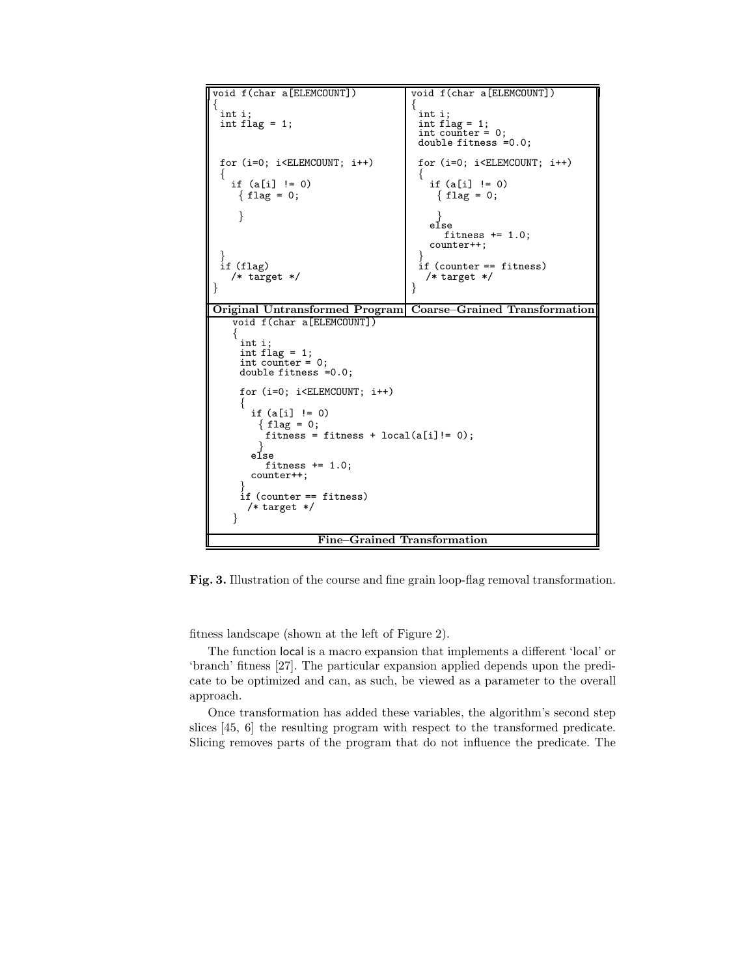```
void f(char a[ELEMCOUNT]) void f(char a[ELEMCOUNT])
\{ \}int i;<br>int flag = 1;<br>int flag = 1;
                                int flag = 1;
                                 int counter = 0;
double fitness =0.0;
 for (i=0; i<ELEMCOUNT; i++) for (i=0; i<ELEMCOUNT; i++)
 {\{if (a[i] |= 0) if (a[i] |= 0)<br>{ flag = 0; flag = 0;{flag = 0;}} }
                                  else
                                     fitness += 1.0;counter++;
 } }
 if (flag) \begin{array}{c|c} \text{if (flag)} \\ \hline \end{array} if (counter == fitness)
                                  /* target */} }
Original Untransformed Program Coarse–Grained Transformation
   void f(char a[ELEMCOUNT])
   {
int i;
int flag = 1;
int counter = 0;
double fitness =0.0;
    for (i=0; i<ELEMCOUNT; i++)
    {
      if (a[i] |= 0){flag = 0;}fitness = fitness + local(a[i] != 0);
      }
else
        fitness += 1.0;
      counter++;
    }
    if (counter == fitness)
     /* target */
   }
                Fine–Grained Transformation
```
Fig. 3. Illustration of the course and fine grain loop-flag removal transformation.

fitness landscape (shown at the left of Figure 2).

The function local is a macro expansion that implements a different 'local' or 'branch' fitness [27]. The particular expansion applied depends upon the predicate to be optimized and can, as such, be viewed as a parameter to the overall approach.

Once transformation has added these variables, the algorithm's second step slices [45, 6] the resulting program with respect to the transformed predicate. Slicing removes parts of the program that do not influence the predicate. The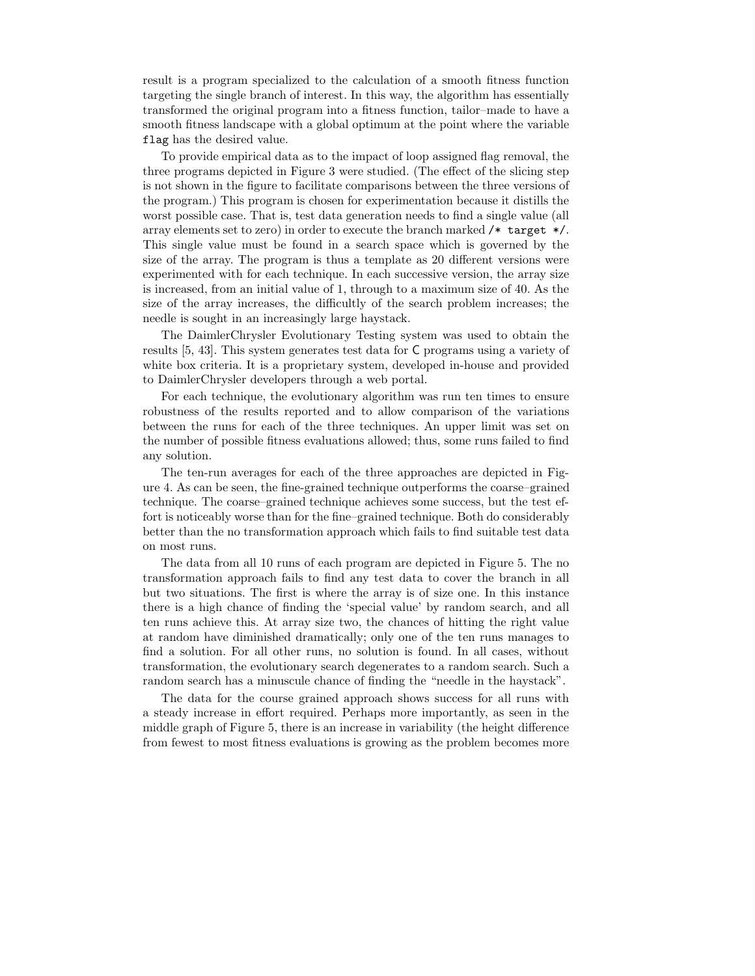result is a program specialized to the calculation of a smooth fitness function targeting the single branch of interest. In this way, the algorithm has essentially transformed the original program into a fitness function, tailor–made to have a smooth fitness landscape with a global optimum at the point where the variable flag has the desired value.

To provide empirical data as to the impact of loop assigned flag removal, the three programs depicted in Figure 3 were studied. (The effect of the slicing step is not shown in the figure to facilitate comparisons between the three versions of the program.) This program is chosen for experimentation because it distills the worst possible case. That is, test data generation needs to find a single value (all array elements set to zero) in order to execute the branch marked /\* target \*/. This single value must be found in a search space which is governed by the size of the array. The program is thus a template as 20 different versions were experimented with for each technique. In each successive version, the array size is increased, from an initial value of 1, through to a maximum size of 40. As the size of the array increases, the difficultly of the search problem increases; the needle is sought in an increasingly large haystack.

The DaimlerChrysler Evolutionary Testing system was used to obtain the results [5, 43]. This system generates test data for C programs using a variety of white box criteria. It is a proprietary system, developed in-house and provided to DaimlerChrysler developers through a web portal.

For each technique, the evolutionary algorithm was run ten times to ensure robustness of the results reported and to allow comparison of the variations between the runs for each of the three techniques. An upper limit was set on the number of possible fitness evaluations allowed; thus, some runs failed to find any solution.

The ten-run averages for each of the three approaches are depicted in Figure 4. As can be seen, the fine-grained technique outperforms the coarse–grained technique. The coarse–grained technique achieves some success, but the test effort is noticeably worse than for the fine–grained technique. Both do considerably better than the no transformation approach which fails to find suitable test data on most runs.

The data from all 10 runs of each program are depicted in Figure 5. The no transformation approach fails to find any test data to cover the branch in all but two situations. The first is where the array is of size one. In this instance there is a high chance of finding the 'special value' by random search, and all ten runs achieve this. At array size two, the chances of hitting the right value at random have diminished dramatically; only one of the ten runs manages to find a solution. For all other runs, no solution is found. In all cases, without transformation, the evolutionary search degenerates to a random search. Such a random search has a minuscule chance of finding the "needle in the haystack".

The data for the course grained approach shows success for all runs with a steady increase in effort required. Perhaps more importantly, as seen in the middle graph of Figure 5, there is an increase in variability (the height difference from fewest to most fitness evaluations is growing as the problem becomes more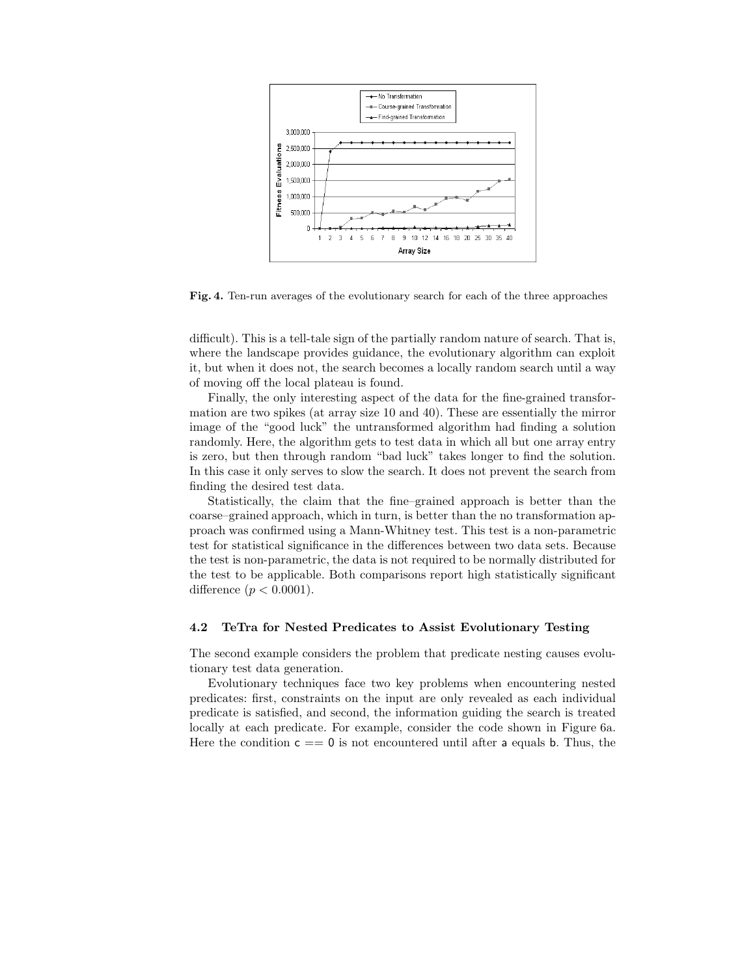

Fig. 4. Ten-run averages of the evolutionary search for each of the three approaches

difficult). This is a tell-tale sign of the partially random nature of search. That is, where the landscape provides guidance, the evolutionary algorithm can exploit it, but when it does not, the search becomes a locally random search until a way of moving off the local plateau is found.

Finally, the only interesting aspect of the data for the fine-grained transformation are two spikes (at array size 10 and 40). These are essentially the mirror image of the "good luck" the untransformed algorithm had finding a solution randomly. Here, the algorithm gets to test data in which all but one array entry is zero, but then through random "bad luck" takes longer to find the solution. In this case it only serves to slow the search. It does not prevent the search from finding the desired test data.

Statistically, the claim that the fine–grained approach is better than the coarse–grained approach, which in turn, is better than the no transformation approach was confirmed using a Mann-Whitney test. This test is a non-parametric test for statistical significance in the differences between two data sets. Because the test is non-parametric, the data is not required to be normally distributed for the test to be applicable. Both comparisons report high statistically significant difference  $(p < 0.0001)$ .

### 4.2 TeTra for Nested Predicates to Assist Evolutionary Testing

The second example considers the problem that predicate nesting causes evolutionary test data generation.

Evolutionary techniques face two key problems when encountering nested predicates: first, constraints on the input are only revealed as each individual predicate is satisfied, and second, the information guiding the search is treated locally at each predicate. For example, consider the code shown in Figure 6a. Here the condition  $c = 0$  is not encountered until after a equals b. Thus, the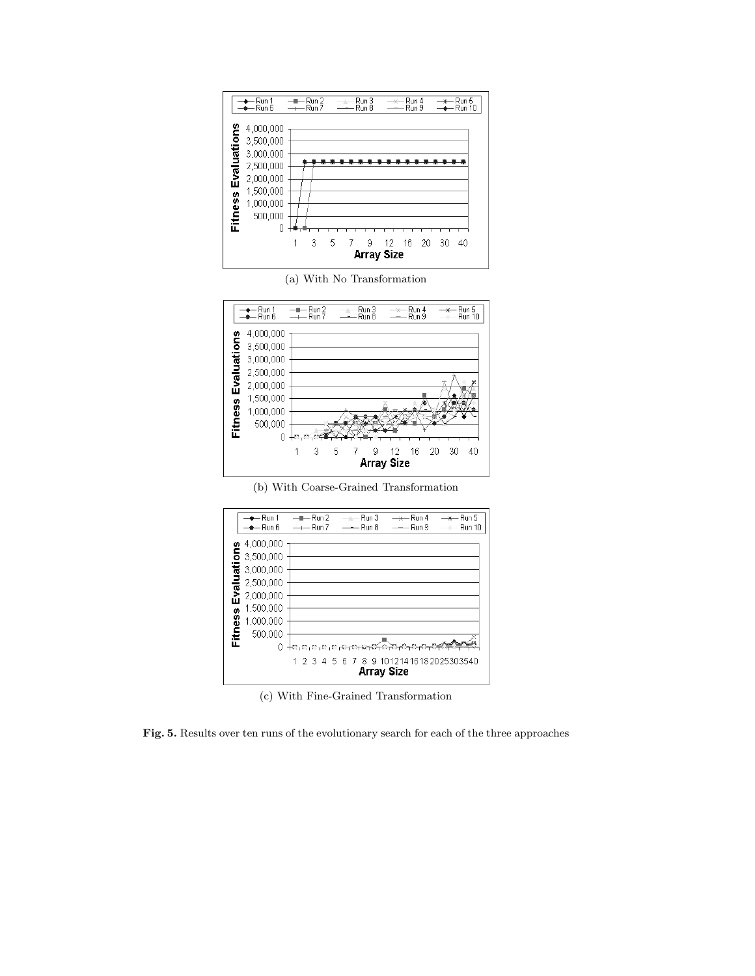

(a) With No Transformation



(b) With Coarse-Grained Transformation



(c) With Fine-Grained Transformation

Fig. 5. Results over ten runs of the evolutionary search for each of the three approaches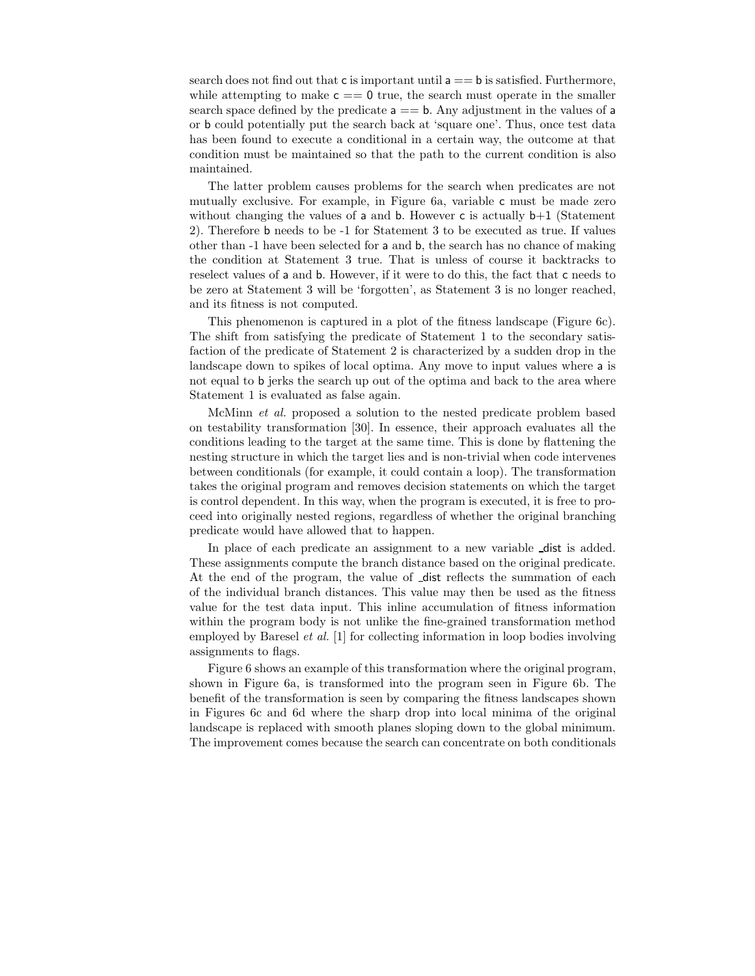search does not find out that  $c$  is important until  $a == b$  is satisfied. Furthermore, while attempting to make  $c == 0$  true, the search must operate in the smaller search space defined by the predicate  $a == b$ . Any adjustment in the values of a or b could potentially put the search back at 'square one'. Thus, once test data has been found to execute a conditional in a certain way, the outcome at that condition must be maintained so that the path to the current condition is also maintained.

The latter problem causes problems for the search when predicates are not mutually exclusive. For example, in Figure 6a, variable c must be made zero without changing the values of  $a$  and  $b$ . However  $c$  is actually  $b+1$  (Statement 2). Therefore b needs to be -1 for Statement 3 to be executed as true. If values other than -1 have been selected for a and b, the search has no chance of making the condition at Statement 3 true. That is unless of course it backtracks to reselect values of a and b. However, if it were to do this, the fact that c needs to be zero at Statement 3 will be 'forgotten', as Statement 3 is no longer reached, and its fitness is not computed.

This phenomenon is captured in a plot of the fitness landscape (Figure 6c). The shift from satisfying the predicate of Statement 1 to the secondary satisfaction of the predicate of Statement 2 is characterized by a sudden drop in the landscape down to spikes of local optima. Any move to input values where a is not equal to b jerks the search up out of the optima and back to the area where Statement 1 is evaluated as false again.

McMinn et al. proposed a solution to the nested predicate problem based on testability transformation [30]. In essence, their approach evaluates all the conditions leading to the target at the same time. This is done by flattening the nesting structure in which the target lies and is non-trivial when code intervenes between conditionals (for example, it could contain a loop). The transformation takes the original program and removes decision statements on which the target is control dependent. In this way, when the program is executed, it is free to proceed into originally nested regions, regardless of whether the original branching predicate would have allowed that to happen.

In place of each predicate an assignment to a new variable dist is added. These assignments compute the branch distance based on the original predicate. At the end of the program, the value of **dist** reflects the summation of each of the individual branch distances. This value may then be used as the fitness value for the test data input. This inline accumulation of fitness information within the program body is not unlike the fine-grained transformation method employed by Baresel *et al.* [1] for collecting information in loop bodies involving assignments to flags.

Figure 6 shows an example of this transformation where the original program, shown in Figure 6a, is transformed into the program seen in Figure 6b. The benefit of the transformation is seen by comparing the fitness landscapes shown in Figures 6c and 6d where the sharp drop into local minima of the original landscape is replaced with smooth planes sloping down to the global minimum. The improvement comes because the search can concentrate on both conditionals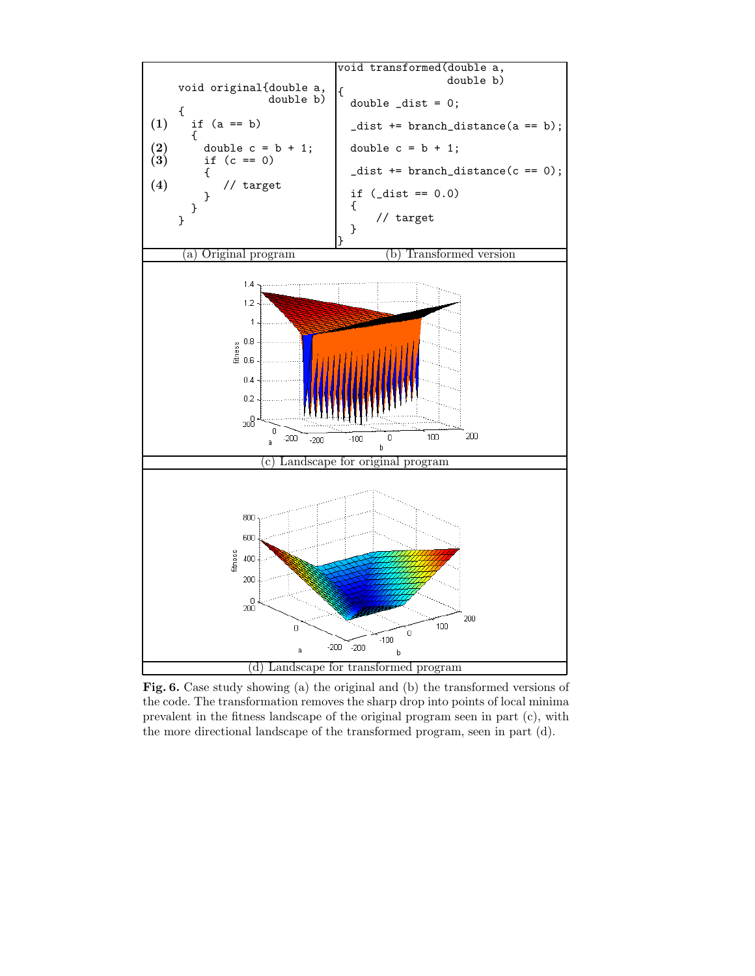

Fig. 6. Case study showing (a) the original and (b) the transformed versions of the code. The transformation removes the sharp drop into points of local minima prevalent in the fitness landscape of the original program seen in part (c), with the more directional landscape of the transformed program, seen in part (d).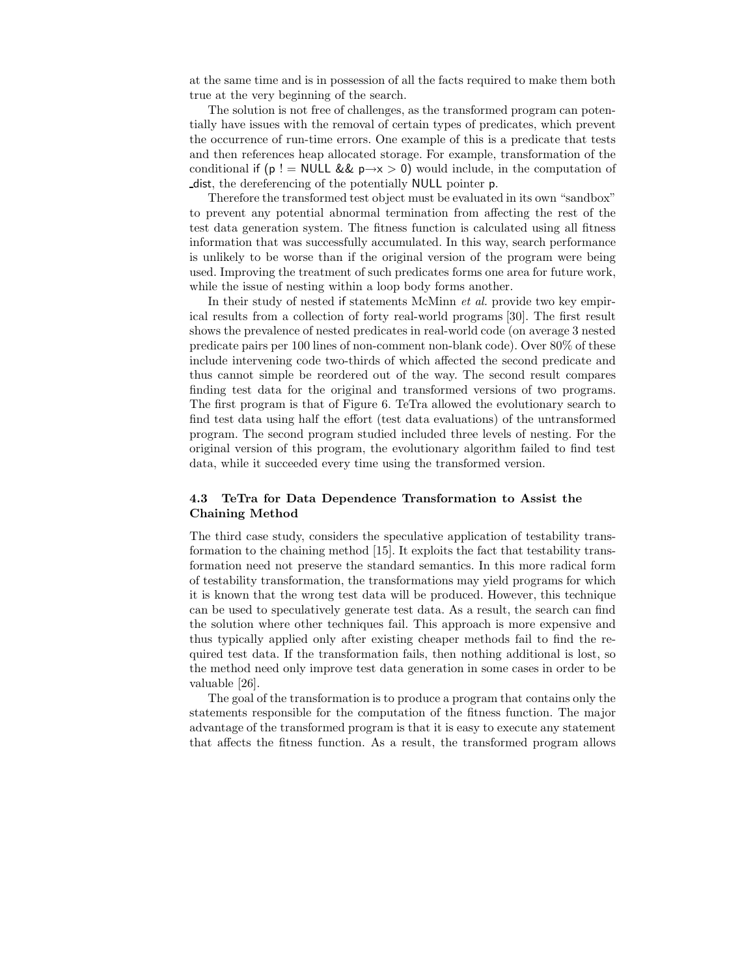at the same time and is in possession of all the facts required to make them both true at the very beginning of the search.

The solution is not free of challenges, as the transformed program can potentially have issues with the removal of certain types of predicates, which prevent the occurrence of run-time errors. One example of this is a predicate that tests and then references heap allocated storage. For example, transformation of the conditional if (p ! = NULL &&  $p \rightarrow x > 0$ ) would include, in the computation of dist, the dereferencing of the potentially NULL pointer p.

Therefore the transformed test object must be evaluated in its own "sandbox" to prevent any potential abnormal termination from affecting the rest of the test data generation system. The fitness function is calculated using all fitness information that was successfully accumulated. In this way, search performance is unlikely to be worse than if the original version of the program were being used. Improving the treatment of such predicates forms one area for future work, while the issue of nesting within a loop body forms another.

In their study of nested if statements McMinn *et al.* provide two key empirical results from a collection of forty real-world programs [30]. The first result shows the prevalence of nested predicates in real-world code (on average 3 nested predicate pairs per 100 lines of non-comment non-blank code). Over 80% of these include intervening code two-thirds of which affected the second predicate and thus cannot simple be reordered out of the way. The second result compares finding test data for the original and transformed versions of two programs. The first program is that of Figure 6. TeTra allowed the evolutionary search to find test data using half the effort (test data evaluations) of the untransformed program. The second program studied included three levels of nesting. For the original version of this program, the evolutionary algorithm failed to find test data, while it succeeded every time using the transformed version.

## 4.3 TeTra for Data Dependence Transformation to Assist the Chaining Method

The third case study, considers the speculative application of testability transformation to the chaining method [15]. It exploits the fact that testability transformation need not preserve the standard semantics. In this more radical form of testability transformation, the transformations may yield programs for which it is known that the wrong test data will be produced. However, this technique can be used to speculatively generate test data. As a result, the search can find the solution where other techniques fail. This approach is more expensive and thus typically applied only after existing cheaper methods fail to find the required test data. If the transformation fails, then nothing additional is lost, so the method need only improve test data generation in some cases in order to be valuable [26].

The goal of the transformation is to produce a program that contains only the statements responsible for the computation of the fitness function. The major advantage of the transformed program is that it is easy to execute any statement that affects the fitness function. As a result, the transformed program allows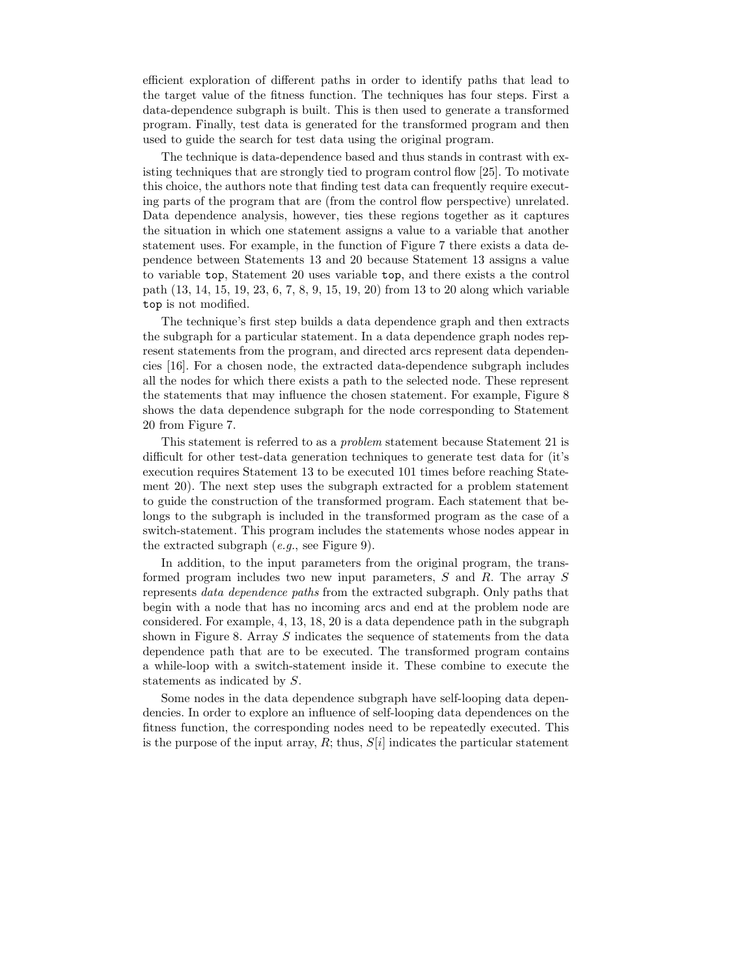efficient exploration of different paths in order to identify paths that lead to the target value of the fitness function. The techniques has four steps. First a data-dependence subgraph is built. This is then used to generate a transformed program. Finally, test data is generated for the transformed program and then used to guide the search for test data using the original program.

The technique is data-dependence based and thus stands in contrast with existing techniques that are strongly tied to program control flow [25]. To motivate this choice, the authors note that finding test data can frequently require executing parts of the program that are (from the control flow perspective) unrelated. Data dependence analysis, however, ties these regions together as it captures the situation in which one statement assigns a value to a variable that another statement uses. For example, in the function of Figure 7 there exists a data dependence between Statements 13 and 20 because Statement 13 assigns a value to variable top, Statement 20 uses variable top, and there exists a the control path (13, 14, 15, 19, 23, 6, 7, 8, 9, 15, 19, 20) from 13 to 20 along which variable top is not modified.

The technique's first step builds a data dependence graph and then extracts the subgraph for a particular statement. In a data dependence graph nodes represent statements from the program, and directed arcs represent data dependencies [16]. For a chosen node, the extracted data-dependence subgraph includes all the nodes for which there exists a path to the selected node. These represent the statements that may influence the chosen statement. For example, Figure 8 shows the data dependence subgraph for the node corresponding to Statement 20 from Figure 7.

This statement is referred to as a problem statement because Statement 21 is difficult for other test-data generation techniques to generate test data for (it's execution requires Statement 13 to be executed 101 times before reaching Statement 20). The next step uses the subgraph extracted for a problem statement to guide the construction of the transformed program. Each statement that belongs to the subgraph is included in the transformed program as the case of a switch-statement. This program includes the statements whose nodes appear in the extracted subgraph (e.g., see Figure 9).

In addition, to the input parameters from the original program, the transformed program includes two new input parameters, S and R. The array S represents data dependence paths from the extracted subgraph. Only paths that begin with a node that has no incoming arcs and end at the problem node are considered. For example, 4, 13, 18, 20 is a data dependence path in the subgraph shown in Figure 8. Array S indicates the sequence of statements from the data dependence path that are to be executed. The transformed program contains a while-loop with a switch-statement inside it. These combine to execute the statements as indicated by S.

Some nodes in the data dependence subgraph have self-looping data dependencies. In order to explore an influence of self-looping data dependences on the fitness function, the corresponding nodes need to be repeatedly executed. This is the purpose of the input array,  $R$ ; thus,  $S[i]$  indicates the particular statement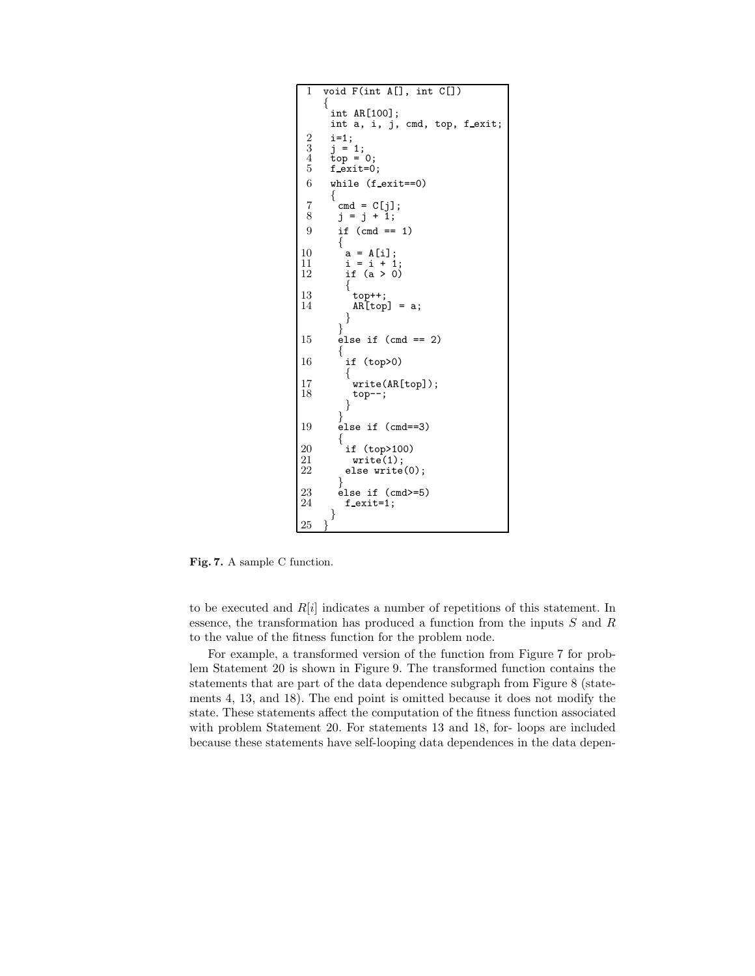```
1 void F(int A[], int C[])
     {
       int AR[100];
       int a, i, j, cmd, top, f\_exit;\begin{array}{cc} 2 & i=1; \\ 3 & j = 1 \end{array}3 \t j = 1;<br>4 top =
 4 top = 0;<br>5 f_exit=0
       f\_exit=0;6 while (f exit==0)
       {
 7 \text{ cmd} = C[j];<br>8 j = j + 1;j = j + 1;9 if (cmd == 1)
         {
10 a = A[i];<br>11 i = i + 111 i = i + 1;<br>
12 if (a > 0)
          if (a > 0){
13 top++;<br>14 AR[top
            AR[top] = a;}
         }
15 else if (cmd == 2)
         {
16 if (top>0)
           {
17 \text{write}(\text{AR}[\text{top}]);<br>18 \text{top--};top--;}
         }
19 else if (cmd==3)
         {
20 if (top>100)<br>21 write(1):
21 write(1);<br>22 else write
          else write(0);
         }
23 else if (cmd>=5)
24 f_exit=1;
       }
25 }
```
Fig. 7. A sample C function.

to be executed and  $R[i]$  indicates a number of repetitions of this statement. In essence, the transformation has produced a function from the inputs  $S$  and  $R$ to the value of the fitness function for the problem node.

For example, a transformed version of the function from Figure 7 for problem Statement 20 is shown in Figure 9. The transformed function contains the statements that are part of the data dependence subgraph from Figure 8 (statements 4, 13, and 18). The end point is omitted because it does not modify the state. These statements affect the computation of the fitness function associated with problem Statement 20. For statements 13 and 18, for- loops are included because these statements have self-looping data dependences in the data depen-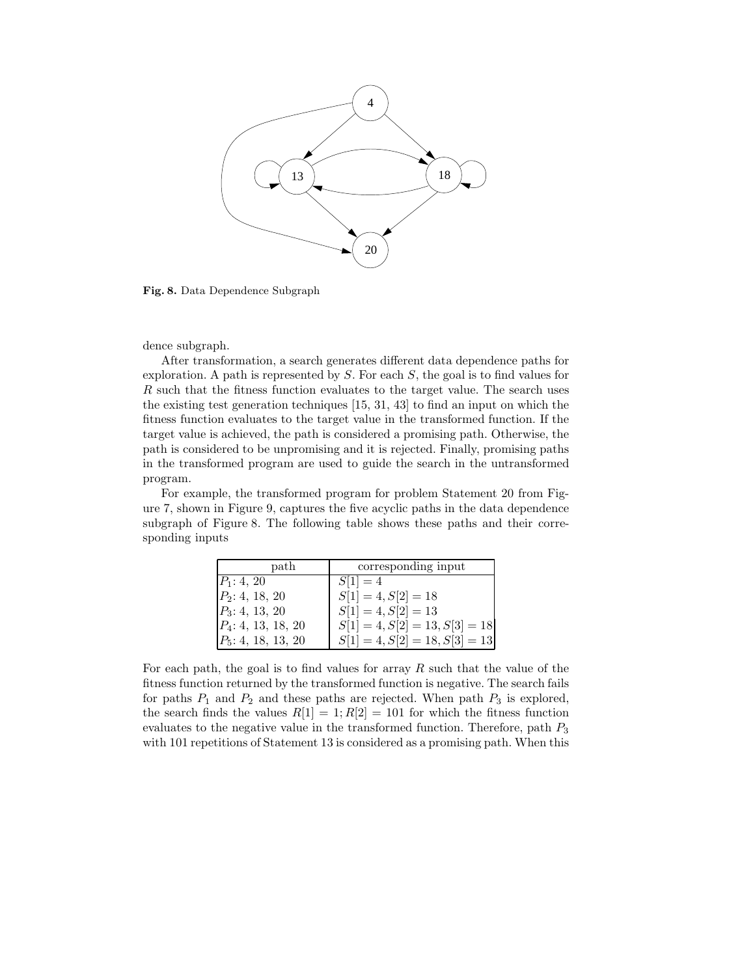

Fig. 8. Data Dependence Subgraph

dence subgraph.

After transformation, a search generates different data dependence paths for exploration. A path is represented by  $S$ . For each  $S$ , the goal is to find values for R such that the fitness function evaluates to the target value. The search uses the existing test generation techniques [15, 31, 43] to find an input on which the fitness function evaluates to the target value in the transformed function. If the target value is achieved, the path is considered a promising path. Otherwise, the path is considered to be unpromising and it is rejected. Finally, promising paths in the transformed program are used to guide the search in the untransformed program.

For example, the transformed program for problem Statement 20 from Figure 7, shown in Figure 9, captures the five acyclic paths in the data dependence subgraph of Figure 8. The following table shows these paths and their corresponding inputs

| path                 | corresponding input              |
|----------------------|----------------------------------|
| $P_1: 4, 20$         | $S[1] = 4$                       |
| $P_2$ : 4, 18, 20    | $S[1] = 4, S[2] = 18$            |
| $P_3: 4, 13, 20$     | $S[1] = 4, S[2] = 13$            |
| $P_4: 4, 13, 18, 20$ | $S[1] = 4, S[2] = 13, S[3] = 18$ |
| $P_5: 4, 18, 13, 20$ | $S[1] = 4, S[2] = 18, S[3] = 13$ |

For each path, the goal is to find values for array  $R$  such that the value of the fitness function returned by the transformed function is negative. The search fails for paths  $P_1$  and  $P_2$  and these paths are rejected. When path  $P_3$  is explored, the search finds the values  $R[1] = 1; R[2] = 101$  for which the fitness function evaluates to the negative value in the transformed function. Therefore, path  $P_3$ with 101 repetitions of Statement 13 is considered as a promising path. When this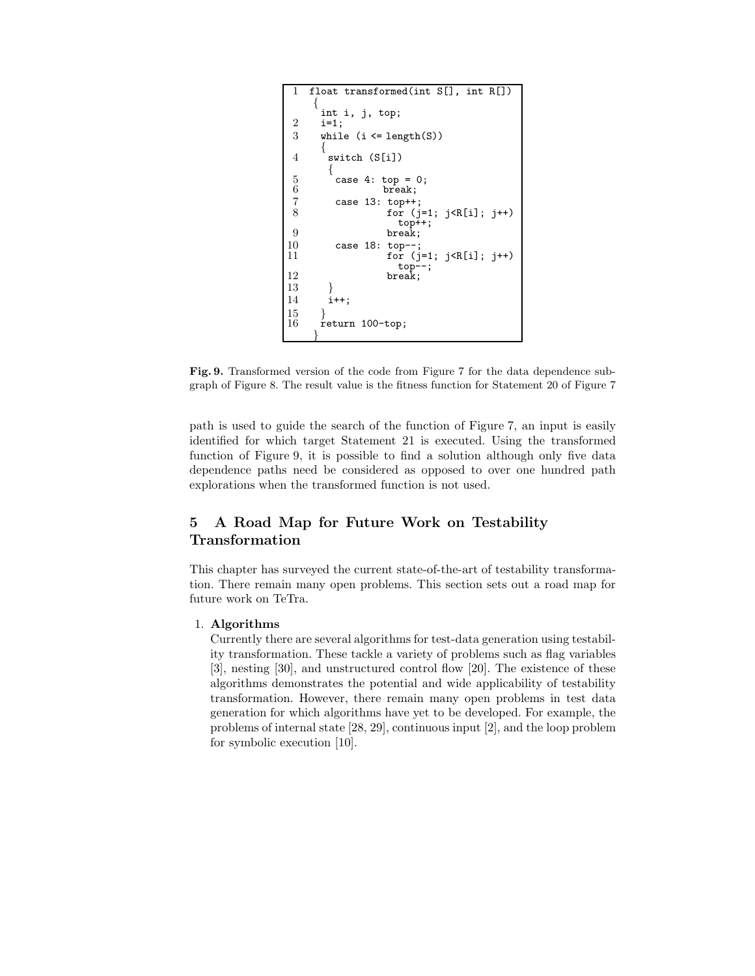```
1 float transformed(int S[], int R[])
     {
      int i, j, top;
 2 i=1;
 3 while (i \leq length(S)){
 4 switch (S[i])
       {
 5 case 4: top = 0;<br>6 break;
 6 break;<br>
7 case 13: top++
 7 case 13: top++;<br>8 for (i)for (j=1; j < R[i]; j++)top++;
 9 break;
10 case 18: top--<br>11 for (
                  for (j=1; j < R[i]; j++)top
12 break;
13 }
14 i++;
\frac{15}{16}return 100-top;
     }
```
Fig. 9. Transformed version of the code from Figure 7 for the data dependence subgraph of Figure 8. The result value is the fitness function for Statement 20 of Figure 7

path is used to guide the search of the function of Figure 7, an input is easily identified for which target Statement 21 is executed. Using the transformed function of Figure 9, it is possible to find a solution although only five data dependence paths need be considered as opposed to over one hundred path explorations when the transformed function is not used.

# 5 A Road Map for Future Work on Testability Transformation

This chapter has surveyed the current state-of-the-art of testability transformation. There remain many open problems. This section sets out a road map for future work on TeTra.

### 1. Algorithms

Currently there are several algorithms for test-data generation using testability transformation. These tackle a variety of problems such as flag variables [3], nesting [30], and unstructured control flow [20]. The existence of these algorithms demonstrates the potential and wide applicability of testability transformation. However, there remain many open problems in test data generation for which algorithms have yet to be developed. For example, the problems of internal state [28, 29], continuous input [2], and the loop problem for symbolic execution [10].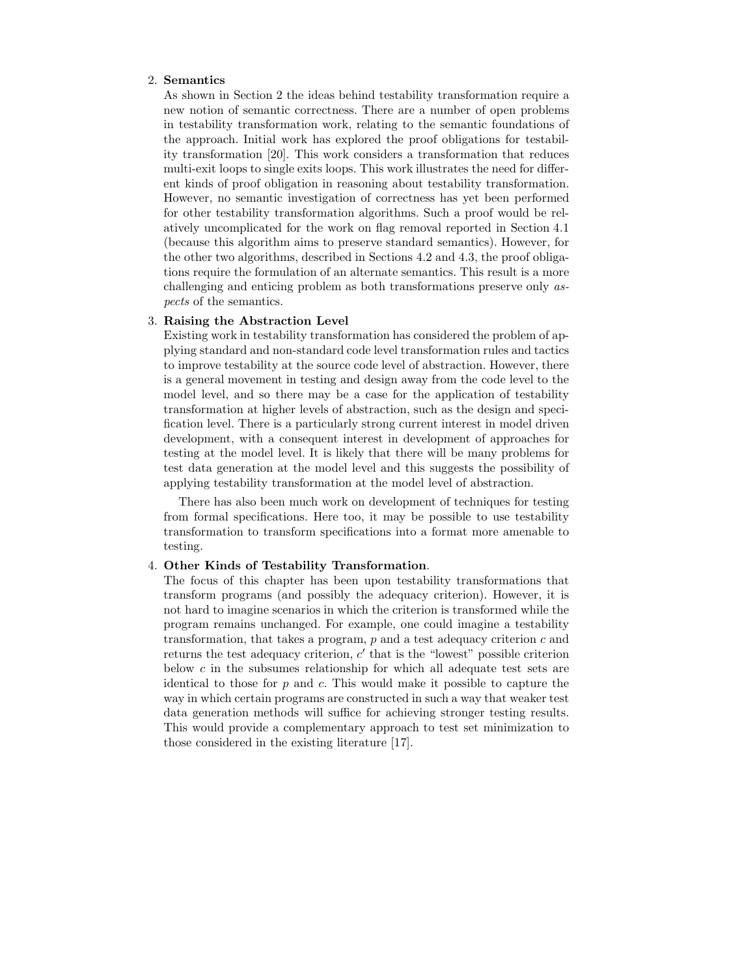### 2. Semantics

As shown in Section 2 the ideas behind testability transformation require a new notion of semantic correctness. There are a number of open problems in testability transformation work, relating to the semantic foundations of the approach. Initial work has explored the proof obligations for testability transformation [20]. This work considers a transformation that reduces multi-exit loops to single exits loops. This work illustrates the need for different kinds of proof obligation in reasoning about testability transformation. However, no semantic investigation of correctness has yet been performed for other testability transformation algorithms. Such a proof would be relatively uncomplicated for the work on flag removal reported in Section 4.1 (because this algorithm aims to preserve standard semantics). However, for the other two algorithms, described in Sections 4.2 and 4.3, the proof obligations require the formulation of an alternate semantics. This result is a more challenging and enticing problem as both transformations preserve only aspects of the semantics.

### 3. Raising the Abstraction Level

Existing work in testability transformation has considered the problem of applying standard and non-standard code level transformation rules and tactics to improve testability at the source code level of abstraction. However, there is a general movement in testing and design away from the code level to the model level, and so there may be a case for the application of testability transformation at higher levels of abstraction, such as the design and specification level. There is a particularly strong current interest in model driven development, with a consequent interest in development of approaches for testing at the model level. It is likely that there will be many problems for test data generation at the model level and this suggests the possibility of applying testability transformation at the model level of abstraction.

There has also been much work on development of techniques for testing from formal specifications. Here too, it may be possible to use testability transformation to transform specifications into a format more amenable to testing.

#### 4. Other Kinds of Testability Transformation.

The focus of this chapter has been upon testability transformations that transform programs (and possibly the adequacy criterion). However, it is not hard to imagine scenarios in which the criterion is transformed while the program remains unchanged. For example, one could imagine a testability transformation, that takes a program,  $p$  and a test adequacy criterion  $c$  and returns the test adequacy criterion,  $c'$  that is the "lowest" possible criterion below c in the subsumes relationship for which all adequate test sets are identical to those for  $p$  and  $c$ . This would make it possible to capture the way in which certain programs are constructed in such a way that weaker test data generation methods will suffice for achieving stronger testing results. This would provide a complementary approach to test set minimization to those considered in the existing literature [17].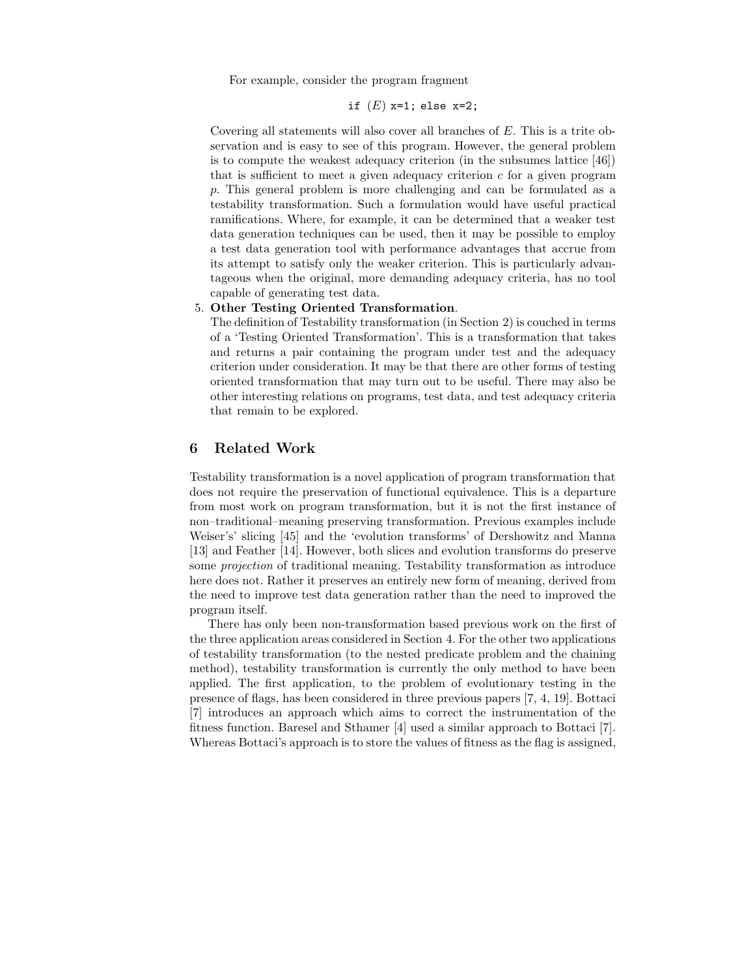For example, consider the program fragment

if  $(E)$  x=1; else x=2;

Covering all statements will also cover all branches of E. This is a trite observation and is easy to see of this program. However, the general problem is to compute the weakest adequacy criterion (in the subsumes lattice [46]) that is sufficient to meet a given adequacy criterion  $c$  for a given program p. This general problem is more challenging and can be formulated as a testability transformation. Such a formulation would have useful practical ramifications. Where, for example, it can be determined that a weaker test data generation techniques can be used, then it may be possible to employ a test data generation tool with performance advantages that accrue from its attempt to satisfy only the weaker criterion. This is particularly advantageous when the original, more demanding adequacy criteria, has no tool capable of generating test data.

### 5. Other Testing Oriented Transformation.

The definition of Testability transformation (in Section 2) is couched in terms of a 'Testing Oriented Transformation'. This is a transformation that takes and returns a pair containing the program under test and the adequacy criterion under consideration. It may be that there are other forms of testing oriented transformation that may turn out to be useful. There may also be other interesting relations on programs, test data, and test adequacy criteria that remain to be explored.

# 6 Related Work

Testability transformation is a novel application of program transformation that does not require the preservation of functional equivalence. This is a departure from most work on program transformation, but it is not the first instance of non–traditional–meaning preserving transformation. Previous examples include Weiser's' slicing [45] and the 'evolution transforms' of Dershowitz and Manna [13] and Feather [14]. However, both slices and evolution transforms do preserve some projection of traditional meaning. Testability transformation as introduce here does not. Rather it preserves an entirely new form of meaning, derived from the need to improve test data generation rather than the need to improved the program itself.

There has only been non-transformation based previous work on the first of the three application areas considered in Section 4. For the other two applications of testability transformation (to the nested predicate problem and the chaining method), testability transformation is currently the only method to have been applied. The first application, to the problem of evolutionary testing in the presence of flags, has been considered in three previous papers [7, 4, 19]. Bottaci [7] introduces an approach which aims to correct the instrumentation of the fitness function. Baresel and Sthamer [4] used a similar approach to Bottaci [7]. Whereas Bottaci's approach is to store the values of fitness as the flag is assigned,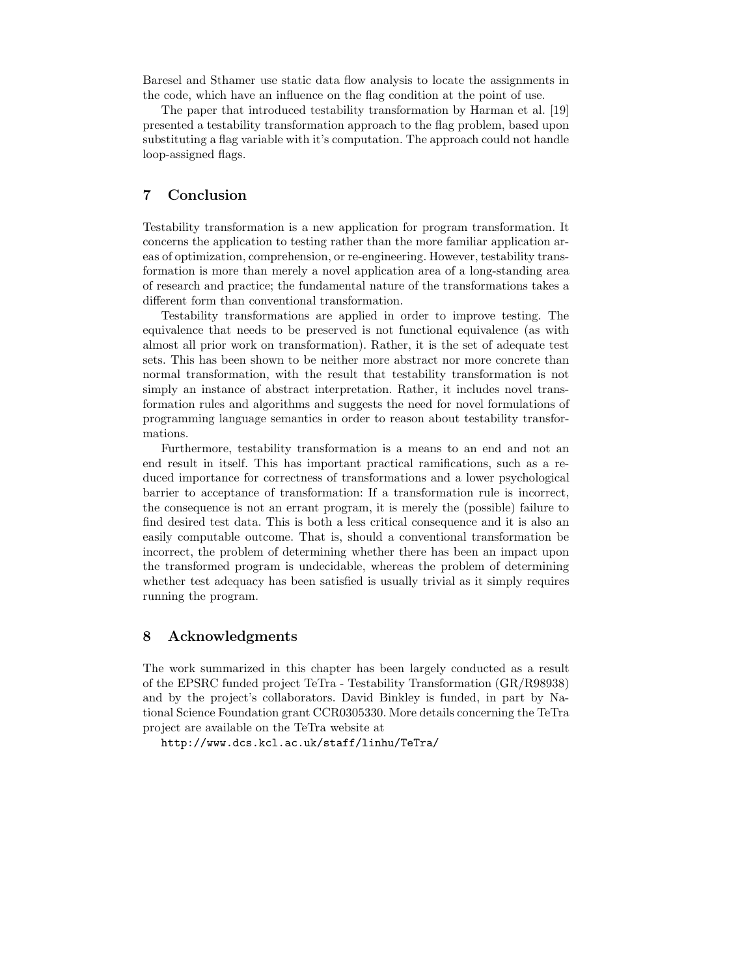Baresel and Sthamer use static data flow analysis to locate the assignments in the code, which have an influence on the flag condition at the point of use.

The paper that introduced testability transformation by Harman et al. [19] presented a testability transformation approach to the flag problem, based upon substituting a flag variable with it's computation. The approach could not handle loop-assigned flags.

# 7 Conclusion

Testability transformation is a new application for program transformation. It concerns the application to testing rather than the more familiar application areas of optimization, comprehension, or re-engineering. However, testability transformation is more than merely a novel application area of a long-standing area of research and practice; the fundamental nature of the transformations takes a different form than conventional transformation.

Testability transformations are applied in order to improve testing. The equivalence that needs to be preserved is not functional equivalence (as with almost all prior work on transformation). Rather, it is the set of adequate test sets. This has been shown to be neither more abstract nor more concrete than normal transformation, with the result that testability transformation is not simply an instance of abstract interpretation. Rather, it includes novel transformation rules and algorithms and suggests the need for novel formulations of programming language semantics in order to reason about testability transformations.

Furthermore, testability transformation is a means to an end and not an end result in itself. This has important practical ramifications, such as a reduced importance for correctness of transformations and a lower psychological barrier to acceptance of transformation: If a transformation rule is incorrect, the consequence is not an errant program, it is merely the (possible) failure to find desired test data. This is both a less critical consequence and it is also an easily computable outcome. That is, should a conventional transformation be incorrect, the problem of determining whether there has been an impact upon the transformed program is undecidable, whereas the problem of determining whether test adequacy has been satisfied is usually trivial as it simply requires running the program.

# 8 Acknowledgments

The work summarized in this chapter has been largely conducted as a result of the EPSRC funded project TeTra - Testability Transformation (GR/R98938) and by the project's collaborators. David Binkley is funded, in part by National Science Foundation grant CCR0305330. More details concerning the TeTra project are available on the TeTra website at

http://www.dcs.kcl.ac.uk/staff/linhu/TeTra/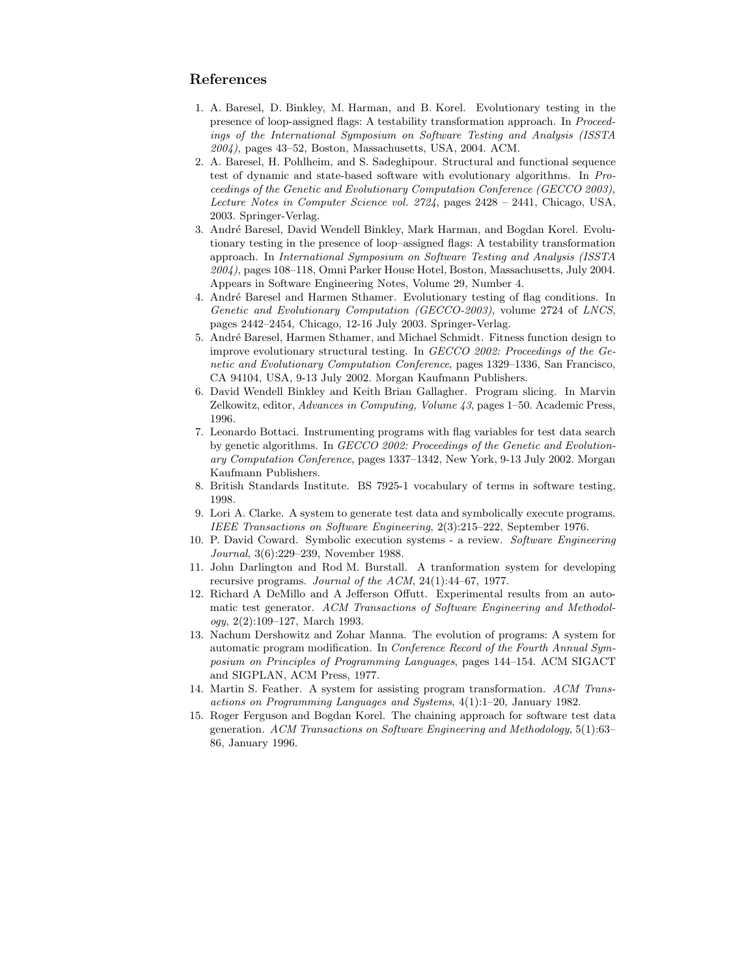# References

- 1. A. Baresel, D. Binkley, M. Harman, and B. Korel. Evolutionary testing in the presence of loop-assigned flags: A testability transformation approach. In *Proceedings of the International Symposium on Software Testing and Analysis (ISSTA 2004)*, pages 43–52, Boston, Massachusetts, USA, 2004. ACM.
- 2. A. Baresel, H. Pohlheim, and S. Sadeghipour. Structural and functional sequence test of dynamic and state-based software with evolutionary algorithms. In *Proceedings of the Genetic and Evolutionary Computation Conference (GECCO 2003), Lecture Notes in Computer Science vol. 2724*, pages 2428 – 2441, Chicago, USA, 2003. Springer-Verlag.
- 3. André Baresel, David Wendell Binkley, Mark Harman, and Bogdan Korel. Evolutionary testing in the presence of loop–assigned flags: A testability transformation approach. In *International Symposium on Software Testing and Analysis (ISSTA 2004)*, pages 108–118, Omni Parker House Hotel, Boston, Massachusetts, July 2004. Appears in Software Engineering Notes, Volume 29, Number 4.
- 4. Andr´e Baresel and Harmen Sthamer. Evolutionary testing of flag conditions. In *Genetic and Evolutionary Computation (GECCO-2003)*, volume 2724 of *LNCS*, pages 2442–2454, Chicago, 12-16 July 2003. Springer-Verlag.
- 5. Andr´e Baresel, Harmen Sthamer, and Michael Schmidt. Fitness function design to improve evolutionary structural testing. In *GECCO 2002: Proceedings of the Genetic and Evolutionary Computation Conference*, pages 1329–1336, San Francisco, CA 94104, USA, 9-13 July 2002. Morgan Kaufmann Publishers.
- 6. David Wendell Binkley and Keith Brian Gallagher. Program slicing. In Marvin Zelkowitz, editor, *Advances in Computing, Volume 43*, pages 1–50. Academic Press, 1996.
- 7. Leonardo Bottaci. Instrumenting programs with flag variables for test data search by genetic algorithms. In *GECCO 2002: Proceedings of the Genetic and Evolutionary Computation Conference*, pages 1337–1342, New York, 9-13 July 2002. Morgan Kaufmann Publishers.
- 8. British Standards Institute. BS 7925-1 vocabulary of terms in software testing, 1998.
- 9. Lori A. Clarke. A system to generate test data and symbolically execute programs. *IEEE Transactions on Software Engineering*, 2(3):215–222, September 1976.
- 10. P. David Coward. Symbolic execution systems a review. *Software Engineering Journal*, 3(6):229–239, November 1988.
- 11. John Darlington and Rod M. Burstall. A tranformation system for developing recursive programs. *Journal of the ACM*, 24(1):44–67, 1977.
- 12. Richard A DeMillo and A Jefferson Offutt. Experimental results from an automatic test generator. *ACM Transactions of Software Engineering and Methodology*, 2(2):109–127, March 1993.
- 13. Nachum Dershowitz and Zohar Manna. The evolution of programs: A system for automatic program modification. In *Conference Record of the Fourth Annual Symposium on Principles of Programming Languages*, pages 144–154. ACM SIGACT and SIGPLAN, ACM Press, 1977.
- 14. Martin S. Feather. A system for assisting program transformation. *ACM Transactions on Programming Languages and Systems*, 4(1):1–20, January 1982.
- 15. Roger Ferguson and Bogdan Korel. The chaining approach for software test data generation. *ACM Transactions on Software Engineering and Methodology*, 5(1):63– 86, January 1996.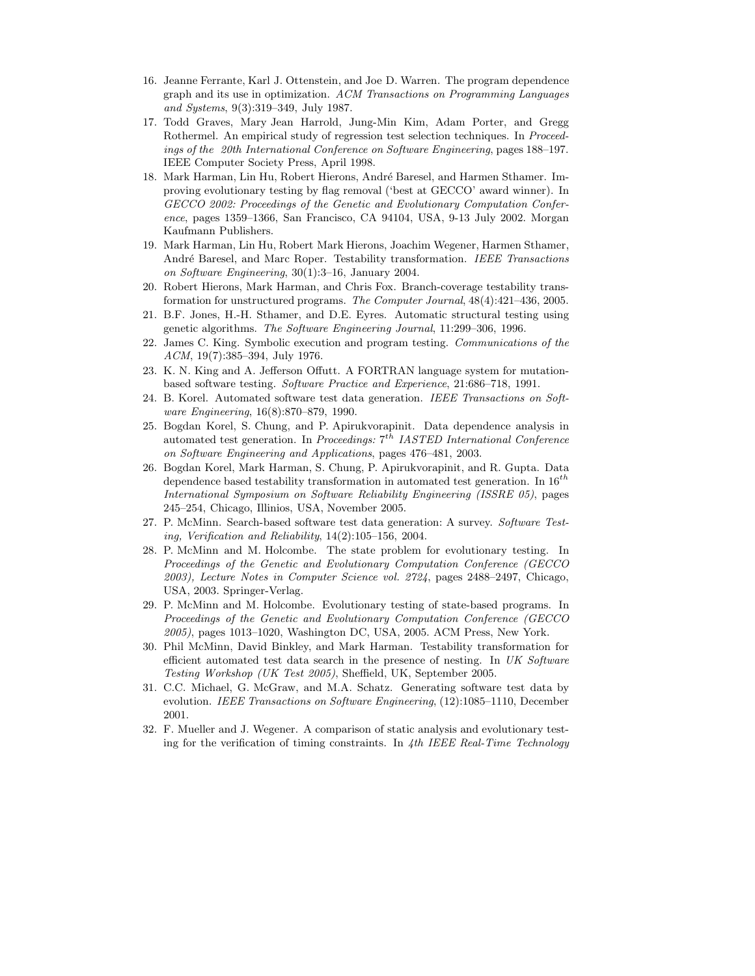- 16. Jeanne Ferrante, Karl J. Ottenstein, and Joe D. Warren. The program dependence graph and its use in optimization. *ACM Transactions on Programming Languages and Systems*, 9(3):319–349, July 1987.
- 17. Todd Graves, Mary Jean Harrold, Jung-Min Kim, Adam Porter, and Gregg Rothermel. An empirical study of regression test selection techniques. In *Proceedings of the 20th International Conference on Software Engineering*, pages 188–197. IEEE Computer Society Press, April 1998.
- 18. Mark Harman, Lin Hu, Robert Hierons, André Baresel, and Harmen Sthamer. Improving evolutionary testing by flag removal ('best at GECCO' award winner). In *GECCO 2002: Proceedings of the Genetic and Evolutionary Computation Conference*, pages 1359–1366, San Francisco, CA 94104, USA, 9-13 July 2002. Morgan Kaufmann Publishers.
- 19. Mark Harman, Lin Hu, Robert Mark Hierons, Joachim Wegener, Harmen Sthamer, Andr´e Baresel, and Marc Roper. Testability transformation. *IEEE Transactions on Software Engineering*, 30(1):3–16, January 2004.
- 20. Robert Hierons, Mark Harman, and Chris Fox. Branch-coverage testability transformation for unstructured programs. *The Computer Journal*, 48(4):421–436, 2005.
- 21. B.F. Jones, H.-H. Sthamer, and D.E. Eyres. Automatic structural testing using genetic algorithms. *The Software Engineering Journal*, 11:299–306, 1996.
- 22. James C. King. Symbolic execution and program testing. *Communications of the ACM*, 19(7):385–394, July 1976.
- 23. K. N. King and A. Jefferson Offutt. A FORTRAN language system for mutationbased software testing. *Software Practice and Experience*, 21:686–718, 1991.
- 24. B. Korel. Automated software test data generation. *IEEE Transactions on Software Engineering*, 16(8):870–879, 1990.
- 25. Bogdan Korel, S. Chung, and P. Apirukvorapinit. Data dependence analysis in automated test generation. In *Proceedings:* 7 th *IASTED International Conference on Software Engineering and Applications*, pages 476–481, 2003.
- 26. Bogdan Korel, Mark Harman, S. Chung, P. Apirukvorapinit, and R. Gupta. Data dependence based testability transformation in automated test generation. In  $16^{th}$ *International Symposium on Software Reliability Engineering (ISSRE 05)*, pages 245–254, Chicago, Illinios, USA, November 2005.
- 27. P. McMinn. Search-based software test data generation: A survey. *Software Testing, Verification and Reliability*, 14(2):105–156, 2004.
- 28. P. McMinn and M. Holcombe. The state problem for evolutionary testing. In *Proceedings of the Genetic and Evolutionary Computation Conference (GECCO 2003), Lecture Notes in Computer Science vol. 2724*, pages 2488–2497, Chicago, USA, 2003. Springer-Verlag.
- 29. P. McMinn and M. Holcombe. Evolutionary testing of state-based programs. In *Proceedings of the Genetic and Evolutionary Computation Conference (GECCO 2005)*, pages 1013–1020, Washington DC, USA, 2005. ACM Press, New York.
- 30. Phil McMinn, David Binkley, and Mark Harman. Testability transformation for efficient automated test data search in the presence of nesting. In *UK Software Testing Workshop (UK Test 2005)*, Sheffield, UK, September 2005.
- 31. C.C. Michael, G. McGraw, and M.A. Schatz. Generating software test data by evolution. *IEEE Transactions on Software Engineering*, (12):1085–1110, December 2001.
- 32. F. Mueller and J. Wegener. A comparison of static analysis and evolutionary testing for the verification of timing constraints. In *4th IEEE Real-Time Technology*